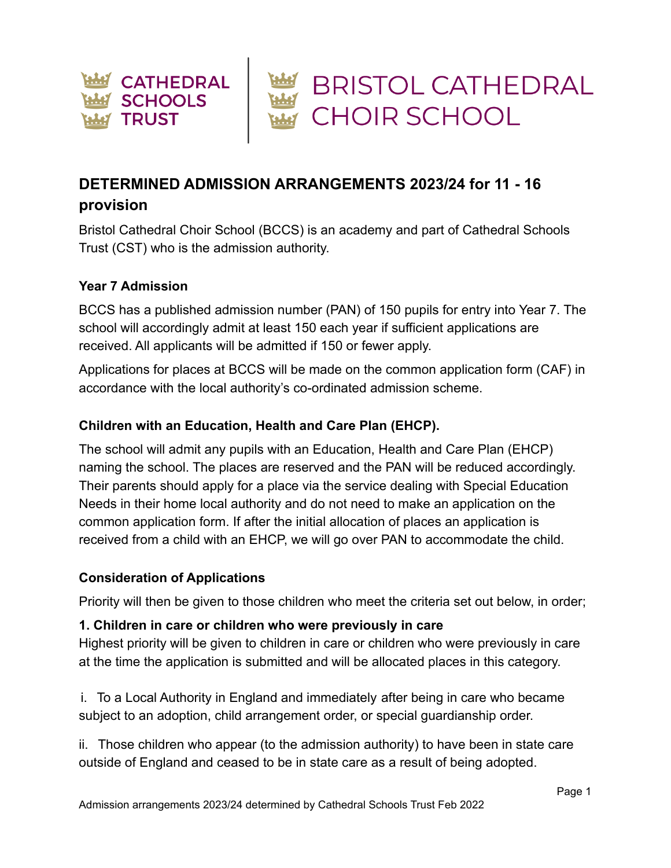

# **DETERMINED ADMISSION ARRANGEMENTS 2023/24 for 11 - 16**

## **provision**

Bristol Cathedral Choir School (BCCS) is an academy and part of Cathedral Schools Trust (CST) who is the admission authority.

## **Year 7 Admission**

BCCS has a published admission number (PAN) of 150 pupils for entry into Year 7. The school will accordingly admit at least 150 each year if sufficient applications are received. All applicants will be admitted if 150 or fewer apply.

Applications for places at BCCS will be made on the common application form (CAF) in accordance with the local authority's co-ordinated admission scheme.

## **Children with an Education, Health and Care Plan (EHCP).**

The school will admit any pupils with an Education, Health and Care Plan (EHCP) naming the school. The places are reserved and the PAN will be reduced accordingly. Their parents should apply for a place via the service dealing with Special Education Needs in their home local authority and do not need to make an application on the common application form. If after the initial allocation of places an application is received from a child with an EHCP, we will go over PAN to accommodate the child.

## **Consideration of Applications**

Priority will then be given to those children who meet the criteria set out below, in order;

## **1. Children in care or children who were previously in care**

Highest priority will be given to children in care or children who were previously in care at the time the application is submitted and will be allocated places in this category.

i. To a Local Authority in England and immediately after being in care who became subject to an adoption, child arrangement order, or special guardianship order.

ii. Those children who appear (to the admission authority) to have been in state care outside of England and ceased to be in state care as a result of being adopted.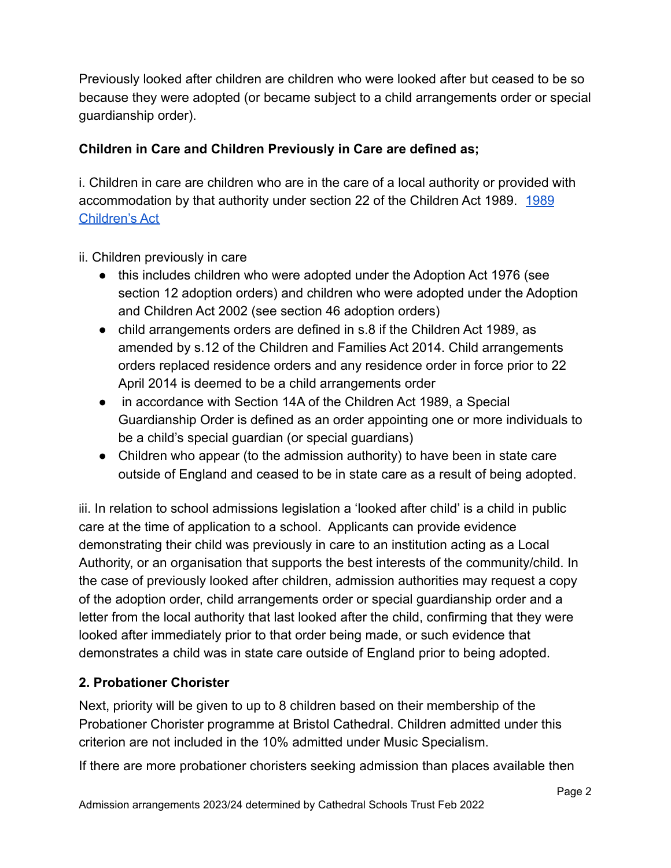Previously looked after children are children who were looked after but ceased to be so because they were adopted (or became subject to a child arrangements order or special guardianship order).

# **Children in Care and Children Previously in Care are defined as;**

i. Children in care are children who are in the care of a local authority or provided with accommodation by that authority under section 22 of the Children Act [1989](https://www.legislation.gov.uk/ukpga/1989/41/contents). 1989 [Children's Act](https://www.legislation.gov.uk/ukpga/1989/41/contents)

ii. Children previously in care

- this includes children who were adopted under the Adoption Act 1976 (see section 12 adoption orders) and children who were adopted under the Adoption and Children Act 2002 (see section 46 adoption orders)
- child arrangements orders are defined in s.8 if the Children Act 1989, as amended by s.12 of the Children and Families Act 2014. Child arrangements orders replaced residence orders and any residence order in force prior to 22 April 2014 is deemed to be a child arrangements order
- in accordance with Section 14A of the Children Act 1989, a Special Guardianship Order is defined as an order appointing one or more individuals to be a child's special guardian (or special guardians)
- Children who appear (to the admission authority) to have been in state care outside of England and ceased to be in state care as a result of being adopted.

iii. In relation to school admissions legislation a 'looked after child' is a child in public care at the time of application to a school. Applicants can provide evidence demonstrating their child was previously in care to an institution acting as a Local Authority, or an organisation that supports the best interests of the community/child. In the case of previously looked after children, admission authorities may request a copy of the adoption order, child arrangements order or special guardianship order and a letter from the local authority that last looked after the child, confirming that they were looked after immediately prior to that order being made, or such evidence that demonstrates a child was in state care outside of England prior to being adopted.

## **2. Probationer Chorister**

Next, priority will be given to up to 8 children based on their membership of the Probationer Chorister programme at Bristol Cathedral. Children admitted under this criterion are not included in the 10% admitted under Music Specialism.

If there are more probationer choristers seeking admission than places available then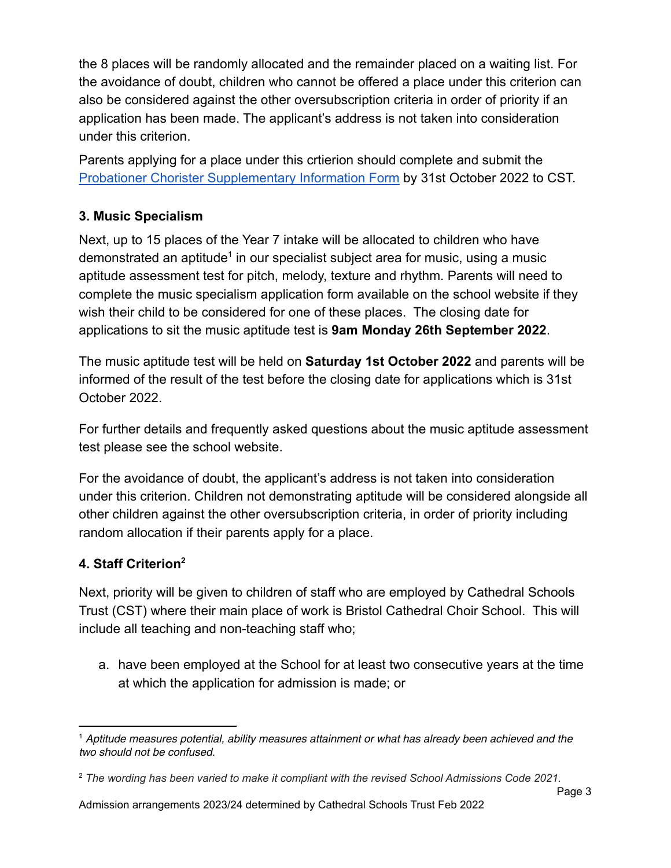the 8 places will be randomly allocated and the remainder placed on a waiting list. For the avoidance of doubt, children who cannot be offered a place under this criterion can also be considered against the other oversubscription criteria in order of priority if an application has been made. The applicant's address is not taken into consideration under this criterion.

Parents applying for a place under this crtierion should complete and submit the [Probationer Chorister Supplementary Information Form](https://docs.google.com/document/d/1HstQAuViVsnMbjNWbji3MdVxzWaEFJJMKDBSyEj9gWI/edit?usp=sharing) by 31st October 2022 to CST.

# **3. Music Specialism**

Next, up to 15 places of the Year 7 intake will be allocated to children who have demonstrated an aptitude<sup>1</sup> in our specialist subject area for music, using a music aptitude assessment test for pitch, melody, texture and rhythm. Parents will need to complete the music specialism application form available on the school website if they wish their child to be considered for one of these places. The closing date for applications to sit the music aptitude test is **9am Monday 26th September 2022**.

The music aptitude test will be held on **Saturday 1st October 2022** and parents will be informed of the result of the test before the closing date for applications which is 31st October 2022.

For further details and frequently asked questions about the music aptitude assessment test please see the school website.

For the avoidance of doubt, the applicant's address is not taken into consideration under this criterion. Children not demonstrating aptitude will be considered alongside all other children against the other oversubscription criteria, in order of priority including random allocation if their parents apply for a place.

# **4. Staff Criterion<sup>2</sup>**

Next, priority will be given to children of staff who are employed by Cathedral Schools Trust (CST) where their main place of work is Bristol Cathedral Choir School. This will include all teaching and non-teaching staff who;

a. have been employed at the School for at least two consecutive years at the time at which the application for admission is made; or

 $<sup>1</sup>$  Aptitude measures potential, ability measures attainment or what has already been achieved and the</sup> two should not be confused.

<sup>2</sup> *The wording has been varied to make it compliant with the revised School Admissions Code 2021.*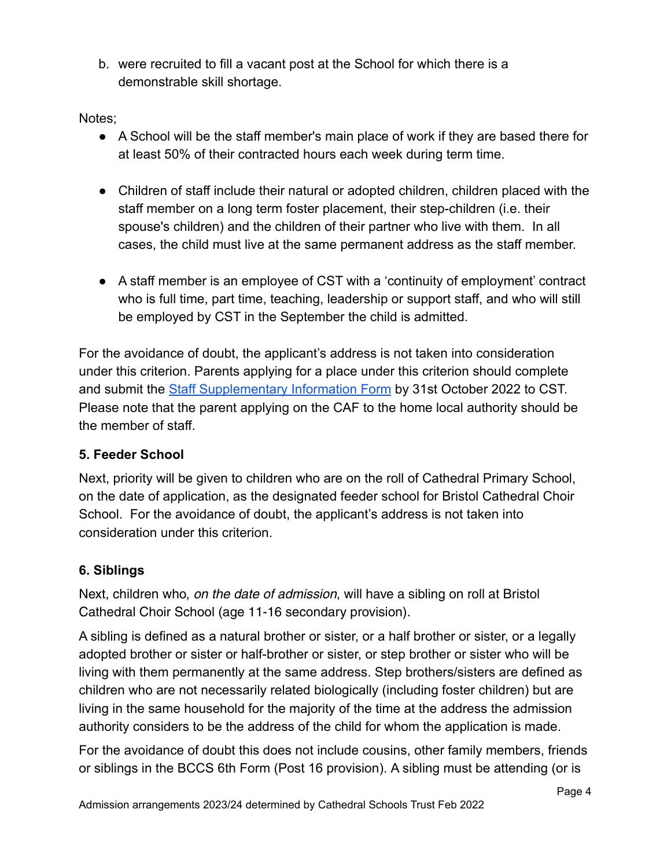b. were recruited to fill a vacant post at the School for which there is a demonstrable skill shortage.

Notes;

- A School will be the staff member's main place of work if they are based there for at least 50% of their contracted hours each week during term time.
- Children of staff include their natural or adopted children, children placed with the staff member on a long term foster placement, their step-children (i.e. their spouse's children) and the children of their partner who live with them. In all cases, the child must live at the same permanent address as the staff member.
- A staff member is an employee of CST with a 'continuity of employment' contract who is full time, part time, teaching, leadership or support staff, and who will still be employed by CST in the September the child is admitted.

For the avoidance of doubt, the applicant's address is not taken into consideration under this criterion. Parents applying for a place under this criterion should complete and submit the [Staff Supplementary Information Form](https://docs.google.com/document/d/1yxDHUU-M0oH8RbqhixKVZ0wZBZqjm_PM/edit?usp=sharing&ouid=111971969837556975984&rtpof=true&sd=true) by 31st October 2022 to CST. Please note that the parent applying on the CAF to the home local authority should be the member of staff.

# **5. Feeder School**

Next, priority will be given to children who are on the roll of Cathedral Primary School, on the date of application, as the designated feeder school for Bristol Cathedral Choir School. For the avoidance of doubt, the applicant's address is not taken into consideration under this criterion.

## **6. Siblings**

Next, children who, *on the date of admission*, will have a sibling on roll at Bristol Cathedral Choir School (age 11-16 secondary provision).

A sibling is defined as a natural brother or sister, or a half brother or sister, or a legally adopted brother or sister or half-brother or sister, or step brother or sister who will be living with them permanently at the same address. Step brothers/sisters are defined as children who are not necessarily related biologically (including foster children) but are living in the same household for the majority of the time at the address the admission authority considers to be the address of the child for whom the application is made.

For the avoidance of doubt this does not include cousins, other family members, friends or siblings in the BCCS 6th Form (Post 16 provision). A sibling must be attending (or is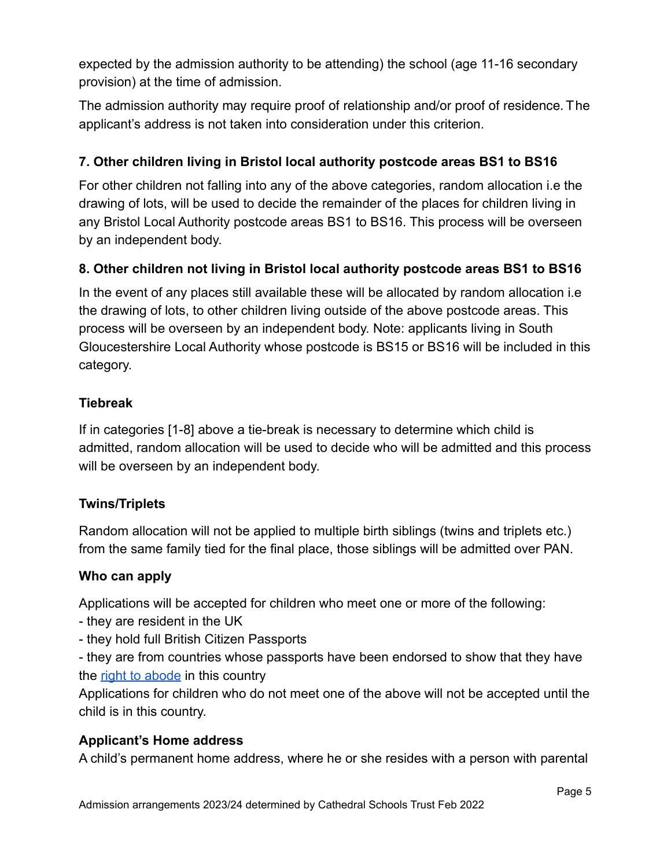expected by the admission authority to be attending) the school (age 11-16 secondary provision) at the time of admission.

The admission authority may require proof of relationship and/or proof of residence. The applicant's address is not taken into consideration under this criterion.

## **7. Other children living in Bristol local authority postcode areas BS1 to BS16**

For other children not falling into any of the above categories, random allocation i.e the drawing of lots, will be used to decide the remainder of the places for children living in any Bristol Local Authority postcode areas BS1 to BS16. This process will be overseen by an independent body.

## **8. Other children not living in Bristol local authority postcode areas BS1 to BS16**

In the event of any places still available these will be allocated by random allocation i.e the drawing of lots, to other children living outside of the above postcode areas. This process will be overseen by an independent body. Note: applicants living in South Gloucestershire Local Authority whose postcode is BS15 or BS16 will be included in this category.

## **Tiebreak**

If in categories [1-8] above a tie-break is necessary to determine which child is admitted, random allocation will be used to decide who will be admitted and this process will be overseen by an independent body.

## **Twins/Triplets**

Random allocation will not be applied to multiple birth siblings (twins and triplets etc.) from the same family tied for the final place, those siblings will be admitted over PAN.

## **Who can apply**

Applications will be accepted for children who meet one or more of the following:

- they are resident in the UK
- they hold full British Citizen Passports

- they are from countries whose passports have been endorsed to show that they have the [right to abode](https://www.gov.uk/right-of-abode) in this country

Applications for children who do not meet one of the above will not be accepted until the child is in this country.

## **Applicant's Home address**

A child's permanent home address, where he or she resides with a person with parental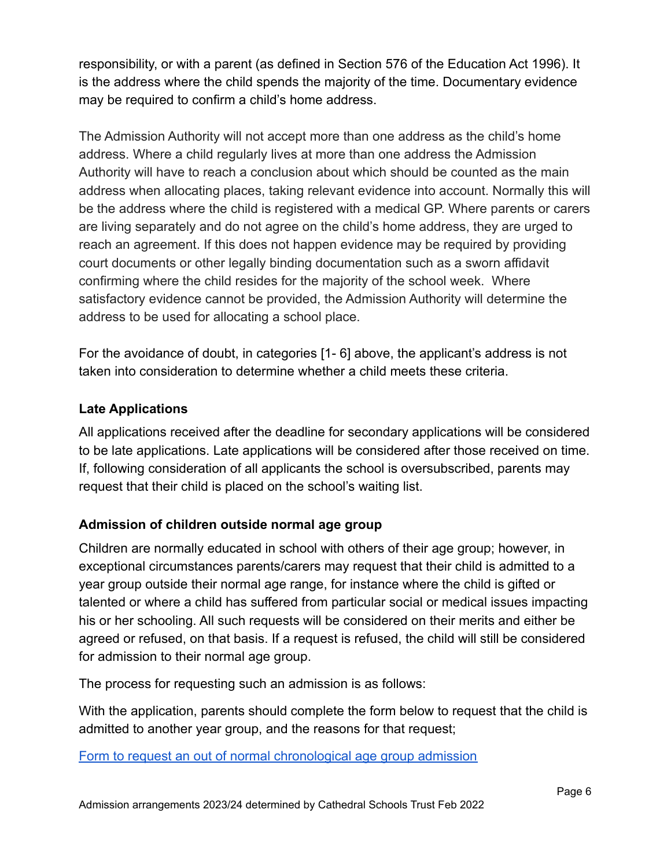responsibility, or with a parent (as defined in Section 576 of the Education Act 1996). It is the address where the child spends the majority of the time. Documentary evidence may be required to confirm a child's home address.

The Admission Authority will not accept more than one address as the child's home address. Where a child regularly lives at more than one address the Admission Authority will have to reach a conclusion about which should be counted as the main address when allocating places, taking relevant evidence into account. Normally this will be the address where the child is registered with a medical GP. Where parents or carers are living separately and do not agree on the child's home address, they are urged to reach an agreement. If this does not happen evidence may be required by providing court documents or other legally binding documentation such as a sworn affidavit confirming where the child resides for the majority of the school week. Where satisfactory evidence cannot be provided, the Admission Authority will determine the address to be used for allocating a school place.

For the avoidance of doubt, in categories [1- 6] above, the applicant's address is not taken into consideration to determine whether a child meets these criteria.

## **Late Applications**

All applications received after the deadline for secondary applications will be considered to be late applications. Late applications will be considered after those received on time. If, following consideration of all applicants the school is oversubscribed, parents may request that their child is placed on the school's waiting list.

## **Admission of children outside normal age group**

Children are normally educated in school with others of their age group; however, in exceptional circumstances parents/carers may request that their child is admitted to a year group outside their normal age range, for instance where the child is gifted or talented or where a child has suffered from particular social or medical issues impacting his or her schooling. All such requests will be considered on their merits and either be agreed or refused, on that basis. If a request is refused, the child will still be considered for admission to their normal age group.

The process for requesting such an admission is as follows:

With the application, parents should complete the form below to request that the child is admitted to another year group, and the reasons for that request;

[Form to request an out of normal chronological age group admission](https://docs.google.com/document/d/1f03DI-I5IKAKWaojrsTEV8_uJuoPcLn5/edit?usp=sharing&ouid=111971969837556975984&rtpof=true&sd=true)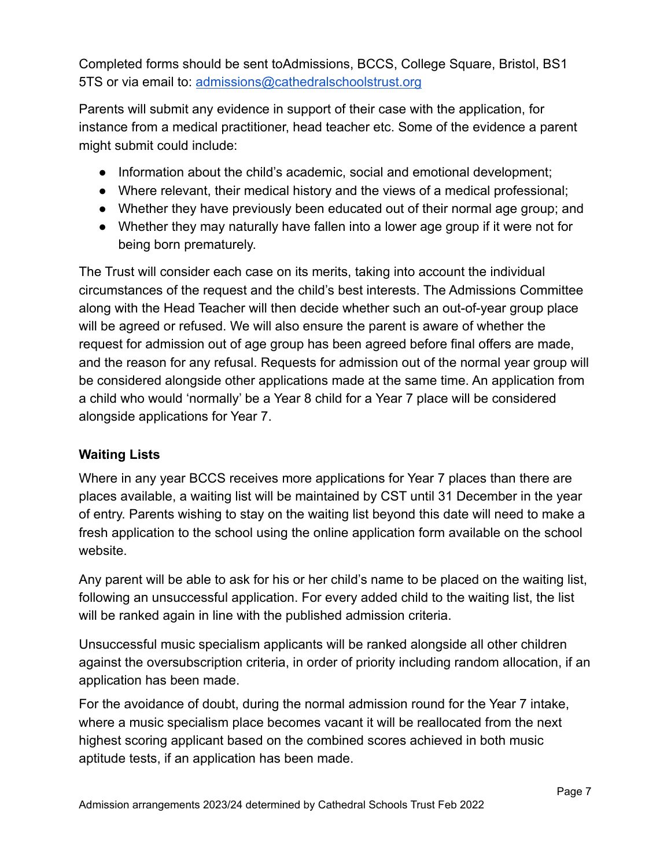Completed forms should be sent toAdmissions, BCCS, College Square, Bristol, BS1 5TS or via email to: [admissions@cathedralschoolstrust.org](mailto:admissions@cathedralschoolstrust.org)

Parents will submit any evidence in support of their case with the application, for instance from a medical practitioner, head teacher etc. Some of the evidence a parent might submit could include:

- Information about the child's academic, social and emotional development;
- Where relevant, their medical history and the views of a medical professional;
- Whether they have previously been educated out of their normal age group; and
- Whether they may naturally have fallen into a lower age group if it were not for being born prematurely.

The Trust will consider each case on its merits, taking into account the individual circumstances of the request and the child's best interests. The Admissions Committee along with the Head Teacher will then decide whether such an out-of-year group place will be agreed or refused. We will also ensure the parent is aware of whether the request for admission out of age group has been agreed before final offers are made, and the reason for any refusal. Requests for admission out of the normal year group will be considered alongside other applications made at the same time. An application from a child who would 'normally' be a Year 8 child for a Year 7 place will be considered alongside applications for Year 7.

## **Waiting Lists**

Where in any year BCCS receives more applications for Year 7 places than there are places available, a waiting list will be maintained by CST until 31 December in the year of entry. Parents wishing to stay on the waiting list beyond this date will need to make a fresh application to the school using the online application form available on the school website.

Any parent will be able to ask for his or her child's name to be placed on the waiting list, following an unsuccessful application. For every added child to the waiting list, the list will be ranked again in line with the published admission criteria.

Unsuccessful music specialism applicants will be ranked alongside all other children against the oversubscription criteria, in order of priority including random allocation, if an application has been made.

For the avoidance of doubt, during the normal admission round for the Year 7 intake, where a music specialism place becomes vacant it will be reallocated from the next highest scoring applicant based on the combined scores achieved in both music aptitude tests, if an application has been made.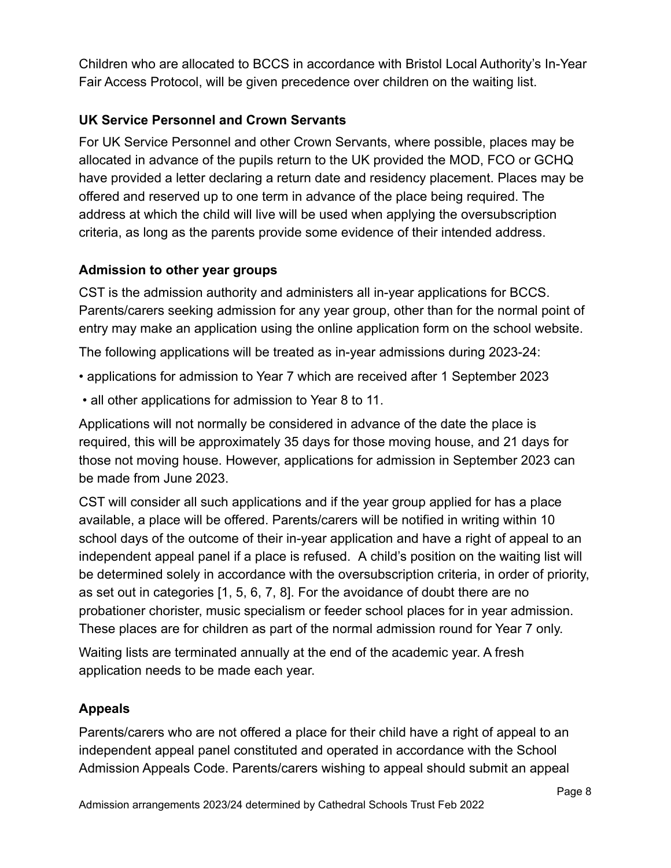Children who are allocated to BCCS in accordance with Bristol Local Authority's In-Year Fair Access Protocol, will be given precedence over children on the waiting list.

## **UK Service Personnel and Crown Servants**

For UK Service Personnel and other Crown Servants, where possible, places may be allocated in advance of the pupils return to the UK provided the MOD, FCO or GCHQ have provided a letter declaring a return date and residency placement. Places may be offered and reserved up to one term in advance of the place being required. The address at which the child will live will be used when applying the oversubscription criteria, as long as the parents provide some evidence of their intended address.

## **Admission to other year groups**

CST is the admission authority and administers all in-year applications for BCCS. Parents/carers seeking admission for any year group, other than for the normal point of entry may make an application using the online application form on the school website.

The following applications will be treated as in-year admissions during 2023-24:

- applications for admission to Year 7 which are received after 1 September 2023
- all other applications for admission to Year 8 to 11.

Applications will not normally be considered in advance of the date the place is required, this will be approximately 35 days for those moving house, and 21 days for those not moving house. However, applications for admission in September 2023 can be made from June 2023.

CST will consider all such applications and if the year group applied for has a place available, a place will be offered. Parents/carers will be notified in writing within 10 school days of the outcome of their in-year application and have a right of appeal to an independent appeal panel if a place is refused. A child's position on the waiting list will be determined solely in accordance with the oversubscription criteria, in order of priority, as set out in categories [1, 5, 6, 7, 8]. For the avoidance of doubt there are no probationer chorister, music specialism or feeder school places for in year admission. These places are for children as part of the normal admission round for Year 7 only.

Waiting lists are terminated annually at the end of the academic year. A fresh application needs to be made each year.

## **Appeals**

Parents/carers who are not offered a place for their child have a right of appeal to an independent appeal panel constituted and operated in accordance with the School Admission Appeals Code. Parents/carers wishing to appeal should submit an appeal